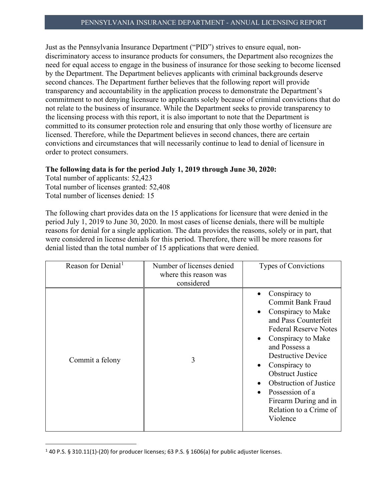Just as the Pennsylvania Insurance Department ("PID") strives to ensure equal, nondiscriminatory access to insurance products for consumers, the Department also recognizes the need for equal access to engage in the business of insurance for those seeking to become licensed by the Department. The Department believes applicants with criminal backgrounds deserve second chances. The Department further believes that the following report will provide transparency and accountability in the application process to demonstrate the Department's commitment to not denying licensure to applicants solely because of criminal convictions that do not relate to the business of insurance. While the Department seeks to provide transparency to the licensing process with this report, it is also important to note that the Department is committed to its consumer protection role and ensuring that only those worthy of licensure are licensed. Therefore, while the Department believes in second chances, there are certain convictions and circumstances that will necessarily continue to lead to denial of licensure in order to protect consumers.

## **The following data is for the period July 1, 2019 through June 30, 2020:**

Total number of applicants: 52,423 Total number of licenses granted: 52,408 Total number of licenses denied: 15

The following chart provides data on the 15 applications for licensure that were denied in the period July 1, 2019 to June 30, 2020. In most cases of license denials, there will be multiple reasons for denial for a single application. The data provides the reasons, solely or in part, that were considered in license denials for this period. Therefore, there will be more reasons for denial listed than the total number of 15 applications that were denied.

| Reason for Denial <sup>1</sup> | Number of licenses denied<br>where this reason was<br>considered | Types of Convictions                                                                                                                                                                                                                                                                                                                                             |
|--------------------------------|------------------------------------------------------------------|------------------------------------------------------------------------------------------------------------------------------------------------------------------------------------------------------------------------------------------------------------------------------------------------------------------------------------------------------------------|
| Commit a felony                | 3                                                                | Conspiracy to<br><b>Commit Bank Fraud</b><br>Conspiracy to Make<br>and Pass Counterfeit<br><b>Federal Reserve Notes</b><br>Conspiracy to Make<br>$\bullet$<br>and Possess a<br><b>Destructive Device</b><br>Conspiracy to<br><b>Obstruct Justice</b><br>Obstruction of Justice<br>Possession of a<br>Firearm During and in<br>Relation to a Crime of<br>Violence |

<span id="page-0-0"></span><sup>1</sup> 40 P.S. § 310.11(1)-(20) for producer licenses; 63 P.S. § 1606(a) for public adjuster licenses.